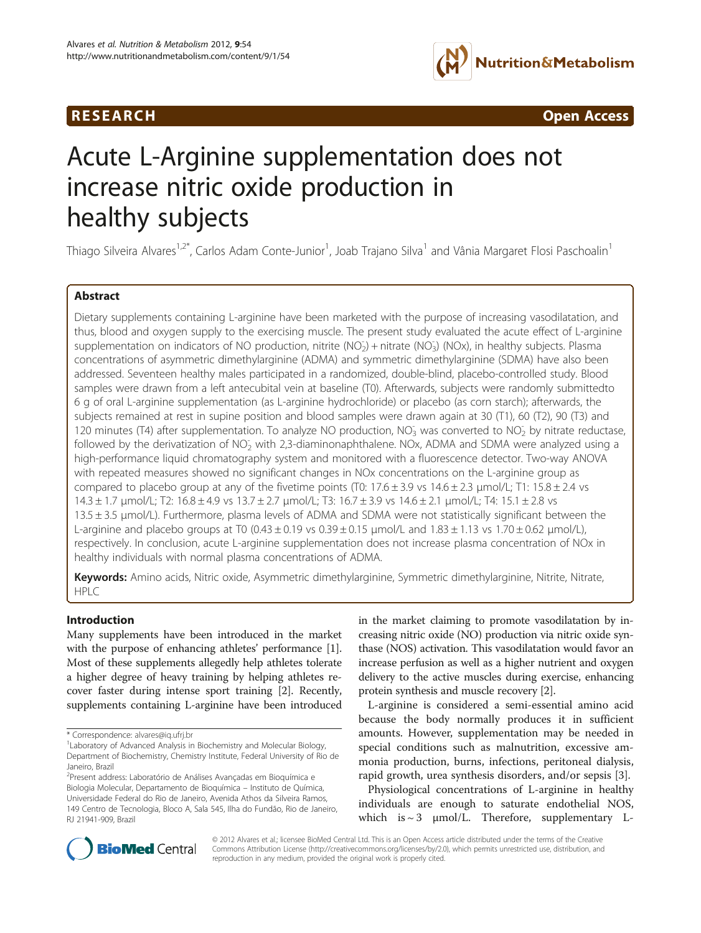## **RESEARCH RESEARCH** *CONSERVERSEARCH CODERNESS <b>CODERNESS*



# Acute L-Arginine supplementation does not increase nitric oxide production in healthy subjects

Thiago Silveira Alvares<sup>1,2\*</sup>, Carlos Adam Conte-Junior<sup>1</sup>, Joab Trajano Silva<sup>1</sup> and Vânia Margaret Flosi Paschoalin<sup>1</sup>

## Abstract

Dietary supplements containing L-arginine have been marketed with the purpose of increasing vasodilatation, and thus, blood and oxygen supply to the exercising muscle. The present study evaluated the acute effect of L-arginine supplementation on indicators of NO production, nitrite (NO<sub>2</sub>) + nitrate (NO<sub>3</sub>) (NOx), in healthy subjects. Plasma concentrations of asymmetric dimethylarginine (ADMA) and symmetric dimethylarginine (SDMA) have also been addressed. Seventeen healthy males participated in a randomized, double-blind, placebo-controlled study. Blood samples were drawn from a left antecubital vein at baseline (T0). Afterwards, subjects were randomly submittedto 6 g of oral L-arginine supplementation (as L-arginine hydrochloride) or placebo (as corn starch); afterwards, the subjects remained at rest in supine position and blood samples were drawn again at 30 (T1), 60 (T2), 90 (T3) and 120 minutes (T4) after supplementation. To analyze NO production, NO<sub>3</sub> was converted to NO<sub>2</sub> by nitrate reductase, followed by the derivatization of NO<sub>2</sub> with 2,3-diaminonaphthalene. NOx, ADMA and SDMA were analyzed using a high-performance liquid chromatography system and monitored with a fluorescence detector. Two-way ANOVA with repeated measures showed no significant changes in NOx concentrations on the L-arginine group as compared to placebo group at any of the fivetime points (T0:  $17.6 \pm 3.9$  vs  $14.6 \pm 2.3$  µmol/L; T1:  $15.8 \pm 2.4$  vs 14.3 ± 1.7 μmol/L; T2: 16.8 ± 4.9 vs 13.7 ± 2.7 μmol/L; T3: 16.7 ± 3.9 vs 14.6 ± 2.1 μmol/L; T4: 15.1 ± 2.8 vs 13.5 ± 3.5 μmol/L). Furthermore, plasma levels of ADMA and SDMA were not statistically significant between the L-arginine and placebo groups at T0 (0.43  $\pm$  0.19 vs 0.39  $\pm$  0.15 µmol/L and 1.83  $\pm$  1.13 vs 1.70  $\pm$  0.62 µmol/L), respectively. In conclusion, acute L-arginine supplementation does not increase plasma concentration of NOx in healthy individuals with normal plasma concentrations of ADMA.

Keywords: Amino acids, Nitric oxide, Asymmetric dimethylarginine, Symmetric dimethylarginine, Nitrite, Nitrate, HPLC

## Introduction

Many supplements have been introduced in the market with the purpose of enhancing athletes' performance [[1](#page-6-0)]. Most of these supplements allegedly help athletes tolerate a higher degree of heavy training by helping athletes recover faster during intense sport training [\[2](#page-6-0)]. Recently, supplements containing L-arginine have been introduced in the market claiming to promote vasodilatation by increasing nitric oxide (NO) production via nitric oxide synthase (NOS) activation. This vasodilatation would favor an increase perfusion as well as a higher nutrient and oxygen delivery to the active muscles during exercise, enhancing protein synthesis and muscle recovery [\[2](#page-6-0)].

L-arginine is considered a semi-essential amino acid because the body normally produces it in sufficient amounts. However, supplementation may be needed in special conditions such as malnutrition, excessive ammonia production, burns, infections, peritoneal dialysis, rapid growth, urea synthesis disorders, and/or sepsis [[3\]](#page-6-0).

Physiological concentrations of L-arginine in healthy individuals are enough to saturate endothelial NOS, which is  $\sim$  3  $\mu$ mol/L. Therefore, supplementary L-



© 2012 Alvares et al.; licensee BioMed Central Ltd. This is an Open Access article distributed under the terms of the Creative Commons Attribution License [\(http://creativecommons.org/licenses/by/2.0\)](http://creativecommons.org/licenses/by/2.0), which permits unrestricted use, distribution, and reproduction in any medium, provided the original work is properly cited.

<sup>\*</sup> Correspondence: [alvares@iq.ufrj.br](mailto:alvares@iq.ufrj.br) <sup>1</sup>

<sup>&</sup>lt;sup>1</sup> Laboratory of Advanced Analysis in Biochemistry and Molecular Biology, Department of Biochemistry, Chemistry Institute, Federal University of Rio de Janeiro, Brazil

<sup>&</sup>lt;sup>2</sup>Present address: Laboratório de Análises Avançadas em Bioquímica e Biologia Molecular, Departamento de Bioquímica – Instituto de Química, Universidade Federal do Rio de Janeiro, Avenida Athos da Silveira Ramos, 149 Centro de Tecnologia, Bloco A, Sala 545, Ilha do Fundão, Rio de Janeiro, RJ 21941-909, Brazil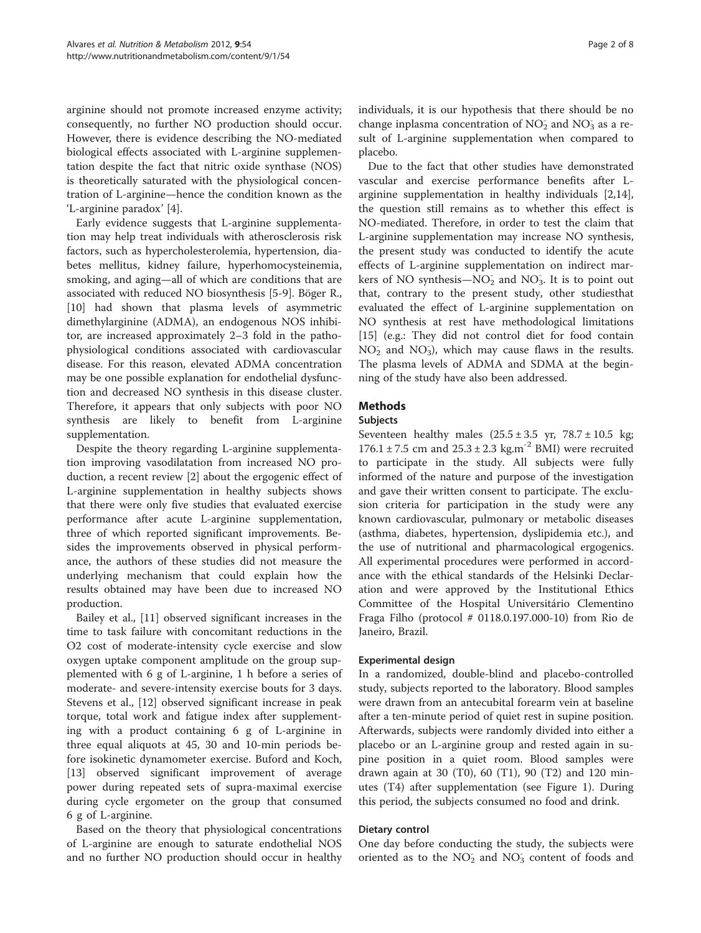arginine should not promote increased enzyme activity; consequently, no further NO production should occur. However, there is evidence describing the NO-mediated biological effects associated with L-arginine supplementation despite the fact that nitric oxide synthase (NOS) is theoretically saturated with the physiological concentration of L-arginine—hence the condition known as the 'L-arginine paradox' [[4\]](#page-6-0).

Early evidence suggests that L-arginine supplementation may help treat individuals with atherosclerosis risk factors, such as hypercholesterolemia, hypertension, diabetes mellitus, kidney failure, hyperhomocysteinemia, smoking, and aging—all of which are conditions that are associated with reduced NO biosynthesis [[5-9\]](#page-6-0). Böger R., [[10\]](#page-6-0) had shown that plasma levels of asymmetric dimethylarginine (ADMA), an endogenous NOS inhibitor, are increased approximately 2–3 fold in the pathophysiological conditions associated with cardiovascular disease. For this reason, elevated ADMA concentration may be one possible explanation for endothelial dysfunction and decreased NO synthesis in this disease cluster. Therefore, it appears that only subjects with poor NO synthesis are likely to benefit from L-arginine supplementation.

Despite the theory regarding L-arginine supplementation improving vasodilatation from increased NO production, a recent review [[2\]](#page-6-0) about the ergogenic effect of L-arginine supplementation in healthy subjects shows that there were only five studies that evaluated exercise performance after acute L-arginine supplementation, three of which reported significant improvements. Besides the improvements observed in physical performance, the authors of these studies did not measure the underlying mechanism that could explain how the results obtained may have been due to increased NO production.

Bailey et al., [\[11](#page-6-0)] observed significant increases in the time to task failure with concomitant reductions in the O2 cost of moderate-intensity cycle exercise and slow oxygen uptake component amplitude on the group supplemented with 6 g of L-arginine, 1 h before a series of moderate- and severe-intensity exercise bouts for 3 days. Stevens et al., [[12](#page-6-0)] observed significant increase in peak torque, total work and fatigue index after supplementing with a product containing 6 g of L-arginine in three equal aliquots at 45, 30 and 10-min periods before isokinetic dynamometer exercise. Buford and Koch, [[13\]](#page-6-0) observed significant improvement of average power during repeated sets of supra-maximal exercise during cycle ergometer on the group that consumed 6 g of L-arginine.

Based on the theory that physiological concentrations of L-arginine are enough to saturate endothelial NOS and no further NO production should occur in healthy individuals, it is our hypothesis that there should be no change inplasma concentration of  $NO<sub>2</sub>$  and  $NO<sub>3</sub>$  as a result of L-arginine supplementation when compared to placebo.

Due to the fact that other studies have demonstrated vascular and exercise performance benefits after Larginine supplementation in healthy individuals [\[2](#page-6-0)[,14](#page-7-0)], the question still remains as to whether this effect is NO-mediated. Therefore, in order to test the claim that L-arginine supplementation may increase NO synthesis, the present study was conducted to identify the acute effects of L-arginine supplementation on indirect markers of NO synthesis—NO<sub>2</sub> and NO<sub>3</sub>. It is to point out that, contrary to the present study, other studiesthat evaluated the effect of L-arginine supplementation on NO synthesis at rest have methodological limitations [[15\]](#page-7-0) (e.g.: They did not control diet for food contain NO<sub>2</sub> and NO<sub>3</sub>), which may cause flaws in the results. The plasma levels of ADMA and SDMA at the beginning of the study have also been addressed.

## **Methods**

## Subjects

Seventeen healthy males  $(25.5 \pm 3.5 \text{ yr}, 78.7 \pm 10.5 \text{ kg})$ 176.1 ± 7.5 cm and  $25.3 \pm 2.3$  kg.m<sup>-2</sup> BMI) were recruited to participate in the study. All subjects were fully informed of the nature and purpose of the investigation and gave their written consent to participate. The exclusion criteria for participation in the study were any known cardiovascular, pulmonary or metabolic diseases (asthma, diabetes, hypertension, dyslipidemia etc.), and the use of nutritional and pharmacological ergogenics. All experimental procedures were performed in accordance with the ethical standards of the Helsinki Declaration and were approved by the Institutional Ethics Committee of the Hospital Universitário Clementino Fraga Filho (protocol # 0118.0.197.000-10) from Rio de Janeiro, Brazil.

## Experimental design

In a randomized, double-blind and placebo-controlled study, subjects reported to the laboratory. Blood samples were drawn from an antecubital forearm vein at baseline after a ten-minute period of quiet rest in supine position. Afterwards, subjects were randomly divided into either a placebo or an L-arginine group and rested again in supine position in a quiet room. Blood samples were drawn again at 30 (T0), 60 (T1), 90 (T2) and 120 minutes (T4) after supplementation (see Figure [1\)](#page-2-0). During this period, the subjects consumed no food and drink.

## Dietary control

One day before conducting the study, the subjects were oriented as to the  $NO<sub>2</sub>$  and  $NO<sub>3</sub>$  content of foods and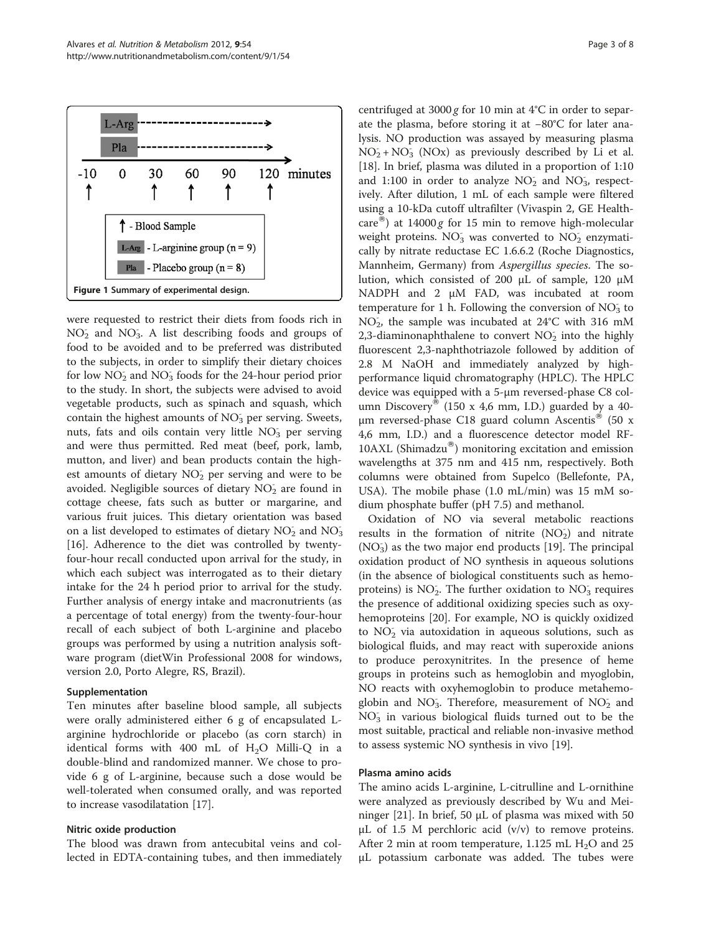<span id="page-2-0"></span>

were requested to restrict their diets from foods rich in NO<sub>2</sub> and NO<sub>3</sub>. A list describing foods and groups of food to be avoided and to be preferred was distributed to the subjects, in order to simplify their dietary choices for low NO<sub>2</sub> and NO<sub>3</sub> foods for the 24-hour period prior to the study. In short, the subjects were advised to avoid vegetable products, such as spinach and squash, which contain the highest amounts of  $NO<sub>3</sub>$  per serving. Sweets, nuts, fats and oils contain very little NO<sub>3</sub> per serving and were thus permitted. Red meat (beef, pork, lamb, mutton, and liver) and bean products contain the highest amounts of dietary NO<sub>2</sub> per serving and were to be avoided. Negligible sources of dietary  $\overline{\mathrm{NO_2}}$  are found in cottage cheese, fats such as butter or margarine, and various fruit juices. This dietary orientation was based on a list developed to estimates of dietary  $NO<sub>2</sub>$  and  $NO<sub>3</sub>$ [[16\]](#page-7-0). Adherence to the diet was controlled by twentyfour-hour recall conducted upon arrival for the study, in which each subject was interrogated as to their dietary intake for the 24 h period prior to arrival for the study. Further analysis of energy intake and macronutrients (as a percentage of total energy) from the twenty-four-hour recall of each subject of both L-arginine and placebo groups was performed by using a nutrition analysis software program (dietWin Professional 2008 for windows, version 2.0, Porto Alegre, RS, Brazil).

#### Supplementation

Ten minutes after baseline blood sample, all subjects were orally administered either 6 g of encapsulated Larginine hydrochloride or placebo (as corn starch) in identical forms with 400 mL of  $H_2O$  Milli-Q in a double-blind and randomized manner. We chose to provide 6 g of L-arginine, because such a dose would be well-tolerated when consumed orally, and was reported to increase vasodilatation [[17](#page-7-0)].

## Nitric oxide production

The blood was drawn from antecubital veins and collected in EDTA-containing tubes, and then immediately centrifuged at  $3000 g$  for 10 min at 4°C in order to separate the plasma, before storing it at −80°C for later analysis. NO production was assayed by measuring plasma  $NO<sub>2</sub> + NO<sub>3</sub>$  (NOx) as previously described by Li et al. [[18\]](#page-7-0). In brief, plasma was diluted in a proportion of 1:10 and 1:100 in order to analyze  $NO<sub>2</sub>$  and  $NO<sub>3</sub>$ , respectively. After dilution, 1 mL of each sample were filtered using a 10-kDa cutoff ultrafilter (Vivaspin 2, GE Healthcare<sup>®</sup>) at 14000 g for 15 min to remove high-molecular weight proteins. NO<sub>3</sub> was converted to NO<sub>2</sub> enzymatically by nitrate reductase EC 1.6.6.2 (Roche Diagnostics, Mannheim, Germany) from Aspergillus species. The solution, which consisted of 200 μL of sample, 120 μM NADPH and 2 μM FAD, was incubated at room temperature for 1 h. Following the conversion of  $NO<sub>3</sub>$  to NO<sub>2</sub>, the sample was incubated at 24°C with 316 mM 2,3-diaminonaphthalene to convert  $NO<sub>2</sub>$  into the highly fluorescent 2,3-naphthotriazole followed by addition of 2.8 M NaOH and immediately analyzed by highperformance liquid chromatography (HPLC). The HPLC device was equipped with a 5-μm reversed-phase C8 column Discovery<sup>®</sup> (150 x 4,6 mm, I.D.) guarded by a 40μm reversed-phase C18 guard column Ascentis<sup>®</sup> (50 x 4,6 mm, I.D.) and a fluorescence detector model RF- $10AXL$  (Shimadzu®) monitoring excitation and emission wavelengths at 375 nm and 415 nm, respectively. Both columns were obtained from Supelco (Bellefonte, PA, USA). The mobile phase (1.0 mL/min) was 15 mM sodium phosphate buffer (pH 7.5) and methanol.

Oxidation of NO via several metabolic reactions results in the formation of nitrite  $(NO<sub>2</sub>)$  and nitrate (NO<sub>3</sub>) as the two major end products [\[19](#page-7-0)]. The principal oxidation product of NO synthesis in aqueous solutions (in the absence of biological constituents such as hemoproteins) is  $NO<sub>2</sub>$ . The further oxidation to  $NO<sub>3</sub>$  requires the presence of additional oxidizing species such as oxyhemoproteins [[20\]](#page-7-0). For example, NO is quickly oxidized to NO<sub>2</sub> via autoxidation in aqueous solutions, such as biological fluids, and may react with superoxide anions to produce peroxynitrites. In the presence of heme groups in proteins such as hemoglobin and myoglobin, NO reacts with oxyhemoglobin to produce metahemoglobin and NO<sub>3</sub>. Therefore, measurement of NO<sub>2</sub> and NO<sub>3</sub> in various biological fluids turned out to be the most suitable, practical and reliable non-invasive method to assess systemic NO synthesis in vivo [[19\]](#page-7-0).

#### Plasma amino acids

The amino acids L-arginine, L-citrulline and L-ornithine were analyzed as previously described by Wu and Meininger [\[21\]](#page-7-0). In brief, 50 μL of plasma was mixed with 50 μL of 1.5 M perchloric acid  $(v/v)$  to remove proteins. After 2 min at room temperature, 1.125 mL  $H_2O$  and 25 μL potassium carbonate was added. The tubes were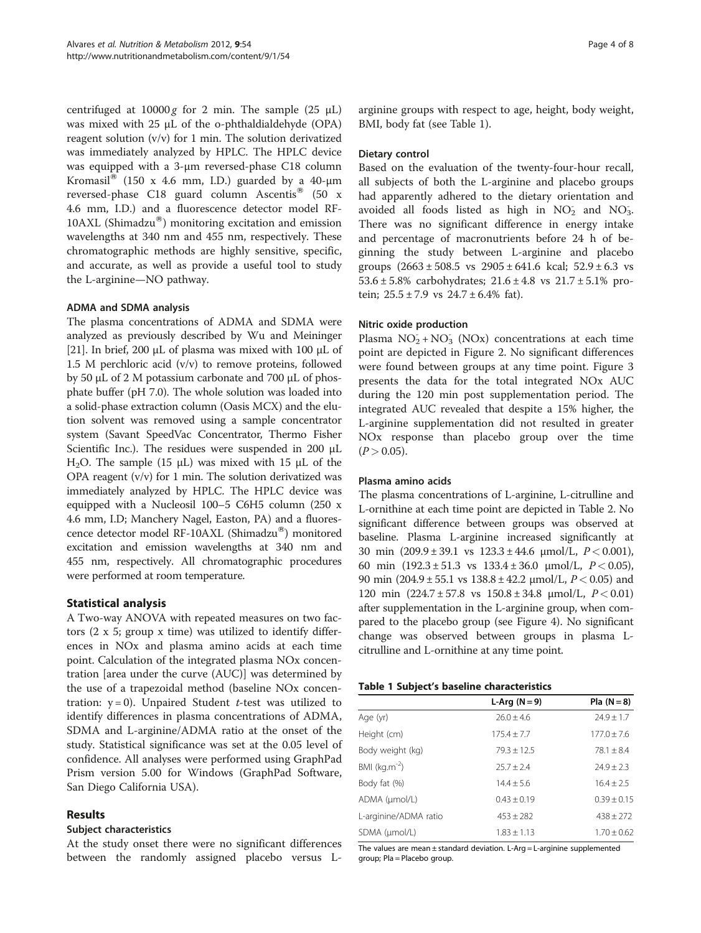<span id="page-3-0"></span>centrifuged at  $10000 g$  for 2 min. The sample (25  $\mu$ L) was mixed with 25 μL of the o-phthaldialdehyde (OPA) reagent solution (v/v) for 1 min. The solution derivatized was immediately analyzed by HPLC. The HPLC device was equipped with a 3-μm reversed-phase C18 column Kromasil<sup>®</sup> (150 x 4.6 mm, I.D.) guarded by a 40-µm reversed-phase C18 guard column Ascentis<sup>®</sup> (50 x 4.6 mm, I.D.) and a fluorescence detector model RF-10AXL (Shimadzu $^{\circledR}$ ) monitoring excitation and emission wavelengths at 340 nm and 455 nm, respectively. These chromatographic methods are highly sensitive, specific, and accurate, as well as provide a useful tool to study the L-arginine—NO pathway.

## ADMA and SDMA analysis

The plasma concentrations of ADMA and SDMA were analyzed as previously described by Wu and Meininger [[21](#page-7-0)]. In brief, 200  $\mu$ L of plasma was mixed with 100  $\mu$ L of 1.5 M perchloric acid  $(v/v)$  to remove proteins, followed by 50 μL of 2 M potassium carbonate and 700 μL of phosphate buffer (pH 7.0). The whole solution was loaded into a solid-phase extraction column (Oasis MCX) and the elution solvent was removed using a sample concentrator system (Savant SpeedVac Concentrator, Thermo Fisher Scientific Inc.). The residues were suspended in 200 μL H<sub>2</sub>O. The sample (15 μL) was mixed with 15 μL of the OPA reagent (v/v) for 1 min. The solution derivatized was immediately analyzed by HPLC. The HPLC device was equipped with a Nucleosil 100–5 C6H5 column (250 x 4.6 mm, I.D; Manchery Nagel, Easton, PA) and a fluorescence detector model RF-10AXL (Shimadzu $^{\circledR}$ ) monitored excitation and emission wavelengths at 340 nm and 455 nm, respectively. All chromatographic procedures were performed at room temperature.

## Statistical analysis

A Two-way ANOVA with repeated measures on two factors (2 x 5; group x time) was utilized to identify differences in NOx and plasma amino acids at each time point. Calculation of the integrated plasma NOx concentration [area under the curve (AUC)] was determined by the use of a trapezoidal method (baseline NOx concentration:  $y = 0$ ). Unpaired Student *t*-test was utilized to identify differences in plasma concentrations of ADMA, SDMA and L-arginine/ADMA ratio at the onset of the study. Statistical significance was set at the 0.05 level of confidence. All analyses were performed using GraphPad Prism version 5.00 for Windows (GraphPad Software, San Diego California USA).

## Results

## Subject characteristics

At the study onset there were no significant differences between the randomly assigned placebo versus L- arginine groups with respect to age, height, body weight, BMI, body fat (see Table 1).

## Dietary control

Based on the evaluation of the twenty-four-hour recall, all subjects of both the L-arginine and placebo groups had apparently adhered to the dietary orientation and avoided all foods listed as high in  $NO<sub>2</sub>$  and  $NO<sub>3</sub>$ . There was no significant difference in energy intake and percentage of macronutrients before 24 h of beginning the study between L-arginine and placebo groups  $(2663 \pm 508.5 \text{ vs } 2905 \pm 641.6 \text{ kcal}; 52.9 \pm 6.3 \text{ vs } 2905 \pm 6.3 \text{ vs } 2905 \pm 6.3 \text{ cc} \cdot \text{m}^2)$ 53.6  $\pm$  5.8% carbohydrates; 21.6  $\pm$  4.8 vs 21.7  $\pm$  5.1% protein;  $25.5 \pm 7.9$  vs  $24.7 \pm 6.4\%$  fat).

## Nitric oxide production

Plasma  $NO<sub>2</sub><sup>-</sup> + NO<sub>3</sub>$  (NOx) concentrations at each time point are depicted in Figure [2](#page-4-0). No significant differences were found between groups at any time point. Figure [3](#page-4-0) presents the data for the total integrated NOx AUC during the 120 min post supplementation period. The integrated AUC revealed that despite a 15% higher, the L-arginine supplementation did not resulted in greater NOx response than placebo group over the time  $(P > 0.05)$ .

## Plasma amino acids

The plasma concentrations of L-arginine, L-citrulline and L-ornithine at each time point are depicted in Table [2](#page-5-0). No significant difference between groups was observed at baseline. Plasma L-arginine increased significantly at 30 min  $(209.9 \pm 39.1 \text{ vs } 123.3 \pm 44.6 \text{ } \mu \text{mol/L}, P < 0.001)$ , 60 min  $(192.3 \pm 51.3 \text{ vs } 133.4 \pm 36.0 \text{ \mu} \text{mol/L}, P < 0.05)$ , 90 min  $(204.9 \pm 55.1 \text{ vs } 138.8 \pm 42.2 \text{ µmol/L}, P < 0.05)$  and 120 min  $(224.7 \pm 57.8 \text{ vs } 150.8 \pm 34.8 \text{ }\mu\text{mol/L}, P < 0.01)$ after supplementation in the L-arginine group, when compared to the placebo group (see Figure [4\)](#page-5-0). No significant change was observed between groups in plasma Lcitrulline and L-ornithine at any time point.

| L-Arg $(N=9)$   | $PIa (N = 8)$   |
|-----------------|-----------------|
| $76.0 + 4.6$    | $24.9 \pm 1.7$  |
| $175.4 + 7.7$   | $177.0 \pm 7.6$ |
| $79.3 \pm 12.5$ | $78.1 + 8.4$    |
| $25.7 + 2.4$    | $74.9 + 7.3$    |
| $14.4 + 5.6$    | $16.4 + 2.5$    |
| $0.43 \pm 0.19$ | $0.39 \pm 0.15$ |
| $453 \pm 282$   | $438 + 272$     |
| $1.83 \pm 1.13$ | $1.70 \pm 0.62$ |
|                 |                 |

The values are mean  $\pm$  standard deviation. L-Arg = L-arginine supplemented group; Pla = Placebo group.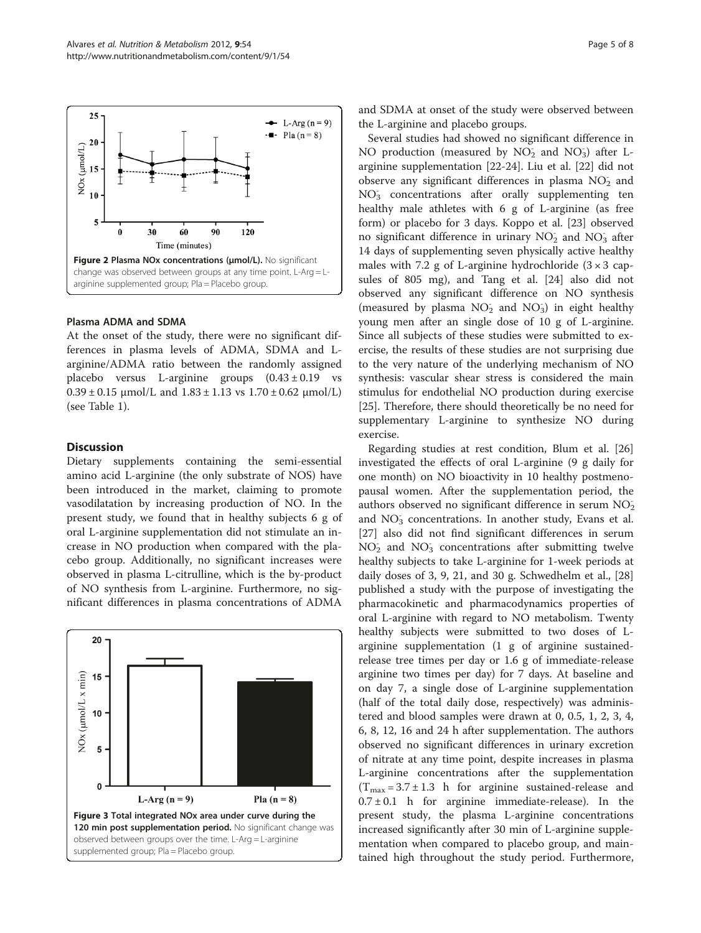<span id="page-4-0"></span>

### Plasma ADMA and SDMA

At the onset of the study, there were no significant differences in plasma levels of ADMA, SDMA and Larginine/ADMA ratio between the randomly assigned placebo versus L-arginine groups  $(0.43 \pm 0.19)$  vs  $0.39 \pm 0.15$  μmol/L and  $1.83 \pm 1.13$  vs  $1.70 \pm 0.62$  μmol/L) (see Table [1\)](#page-3-0).

### **Discussion**

Dietary supplements containing the semi-essential amino acid L-arginine (the only substrate of NOS) have been introduced in the market, claiming to promote vasodilatation by increasing production of NO. In the present study, we found that in healthy subjects 6 g of oral L-arginine supplementation did not stimulate an increase in NO production when compared with the placebo group. Additionally, no significant increases were observed in plasma L-citrulline, which is the by-product of NO synthesis from L-arginine. Furthermore, no significant differences in plasma concentrations of ADMA



and SDMA at onset of the study were observed between the L-arginine and placebo groups.

Several studies had showed no significant difference in NO production (measured by NO<sub>2</sub> and NO<sub>3</sub>) after Larginine supplementation [\[22](#page-7-0)-[24](#page-7-0)]. Liu et al. [[22\]](#page-7-0) did not observe any significant differences in plasma  $NO<sub>2</sub>$  and NO<sub>3</sub> concentrations after orally supplementing ten healthy male athletes with 6 g of L-arginine (as free form) or placebo for 3 days. Koppo et al. [\[23](#page-7-0)] observed no significant difference in urinary  $NO<sub>2</sub>$  and  $NO<sub>3</sub>$  after 14 days of supplementing seven physically active healthy males with 7.2 g of L-arginine hydrochloride  $(3 \times 3$  capsules of 805 mg), and Tang et al. [[24\]](#page-7-0) also did not observed any significant difference on NO synthesis (measured by plasma  $NO<sub>2</sub>$  and  $NO<sub>3</sub>$ ) in eight healthy young men after an single dose of 10 g of L-arginine. Since all subjects of these studies were submitted to exercise, the results of these studies are not surprising due to the very nature of the underlying mechanism of NO synthesis: vascular shear stress is considered the main stimulus for endothelial NO production during exercise [[25\]](#page-7-0). Therefore, there should theoretically be no need for supplementary L-arginine to synthesize NO during exercise.

Regarding studies at rest condition, Blum et al. [[26](#page-7-0)] investigated the effects of oral L-arginine (9 g daily for one month) on NO bioactivity in 10 healthy postmenopausal women. After the supplementation period, the authors observed no significant difference in serum  $NO<sub>2</sub>$ and NO<sub>3</sub> concentrations. In another study, Evans et al. [[27\]](#page-7-0) also did not find significant differences in serum NO<sub>2</sub> and NO<sub>3</sub> concentrations after submitting twelve healthy subjects to take L-arginine for 1-week periods at daily doses of  $3, 9, 21$ , and  $30$  g. Schwedhelm et al.,  $[28]$  $[28]$  $[28]$ published a study with the purpose of investigating the pharmacokinetic and pharmacodynamics properties of oral L-arginine with regard to NO metabolism. Twenty healthy subjects were submitted to two doses of Larginine supplementation (1 g of arginine sustainedrelease tree times per day or 1.6 g of immediate-release arginine two times per day) for 7 days. At baseline and on day 7, a single dose of L-arginine supplementation (half of the total daily dose, respectively) was administered and blood samples were drawn at 0, 0.5, 1, 2, 3, 4, 6, 8, 12, 16 and 24 h after supplementation. The authors observed no significant differences in urinary excretion of nitrate at any time point, despite increases in plasma L-arginine concentrations after the supplementation  $(T_{max} = 3.7 \pm 1.3)$  h for arginine sustained-release and  $0.7 \pm 0.1$  h for arginine immediate-release). In the present study, the plasma L-arginine concentrations increased significantly after 30 min of L-arginine supplementation when compared to placebo group, and maintained high throughout the study period. Furthermore,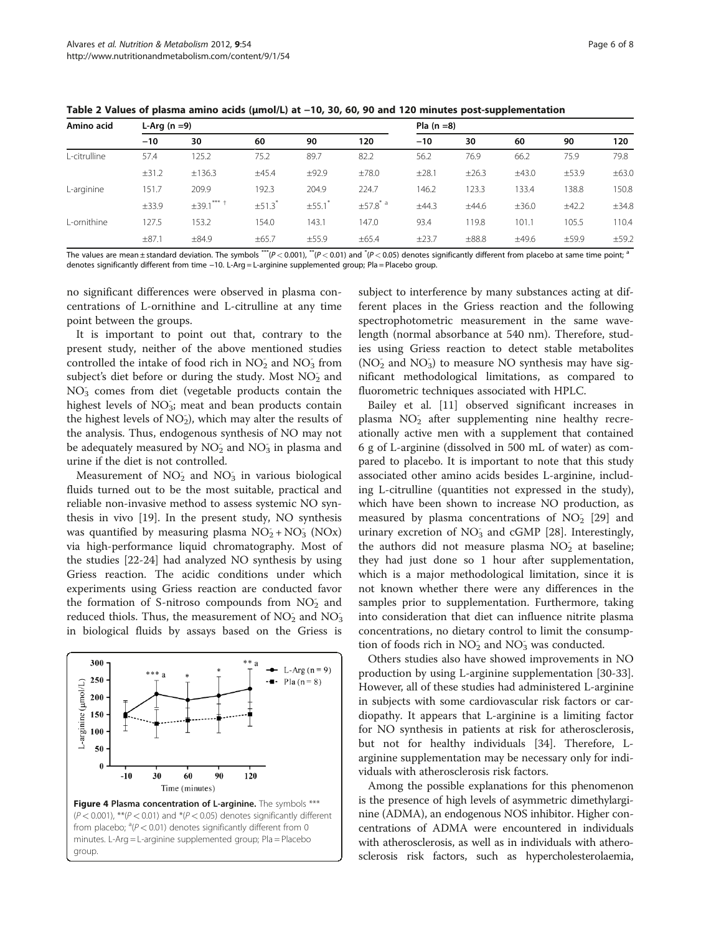<span id="page-5-0"></span>Table 2 Values of plasma amino acids (µmol/L) at −10, 30, 60, 90 and 120 minutes post-supplementation

| Amino acid   | L-Arg $(n=9)$ |                   |            |       | Pla $(n=8)$    |       |            |            |       |            |
|--------------|---------------|-------------------|------------|-------|----------------|-------|------------|------------|-------|------------|
|              | $-10$         | 30                | 60         | 90    | 120            | $-10$ | 30         | 60         | 90    | 120        |
| L-citrulline | 57.4          | 125.2             | 75.2       | 89.7  | 82.2           | 56.2  | 76.9       | 66.2       | 75.9  | 79.8       |
|              | ±31.2         | ±136.3            | ±45.4      | ±92.9 | ±78.0          | ±28.1 | ±26.3      | ±43.0      | ±53.9 | $\pm 63.0$ |
| L-arginine   | 151.7         | 209.9             | 192.3      | 204.9 | 224.7          | 146.2 | 123.3      | 133.4      | 138.8 | 150.8      |
|              | $\pm$ 33.9    | $\pm$ 39.1*** $+$ | $\pm 51.3$ | ±55.1 | $\pm 57.8$ $a$ | ±44.3 | ±44.6      | $\pm 36.0$ | ±42.2 | ±34.8      |
| L-ornithine  | 127.5         | 153.2             | 154.0      | 143.7 | 147.0          | 93.4  | 119.8      | 101.1      | 105.5 | 110.4      |
|              | ±87.1         | $\pm 84.9$        | $\pm 65.7$ | ±55.9 | $\pm 65.4$     | ±23.7 | $\pm 88.8$ | ±49.6      | ±59.9 | ±59.2      |
|              |               |                   |            |       |                |       |            |            |       |            |

The values are mean±standard deviation. The symbols \*\*\*(P < 0.001), \*\*(P < 0.01) and \*(P < 0.05) denotes significantly different from placebo at same time point;  $^{\text{a}}$ denotes significantly different from time −10. L-Arg = L-arginine supplemented group; Pla = Placebo group.

no significant differences were observed in plasma concentrations of L-ornithine and L-citrulline at any time point between the groups.

It is important to point out that, contrary to the present study, neither of the above mentioned studies controlled the intake of food rich in  $NO<sub>2</sub>$  and  $NO<sub>3</sub>$  from subject's diet before or during the study. Most  $NO<sub>2</sub>$  and NO<sub>3</sub> comes from diet (vegetable products contain the highest levels of NO<sub>3</sub>; meat and bean products contain the highest levels of  $NO<sub>2</sub>$ ), which may alter the results of the analysis. Thus, endogenous synthesis of NO may not be adequately measured by  $\overline{\text{NO}_2}$  and  $\overline{\text{NO}_3}$  in plasma and urine if the diet is not controlled.

Measurement of  $NO<sub>2</sub>$  and  $NO<sub>3</sub>$  in various biological fluids turned out to be the most suitable, practical and reliable non-invasive method to assess systemic NO synthesis in vivo [[19\]](#page-7-0). In the present study, NO synthesis was quantified by measuring plasma  $NO<sub>2</sub> + NO<sub>3</sub> (NOx)$ via high-performance liquid chromatography. Most of the studies [[22](#page-7-0)-[24\]](#page-7-0) had analyzed NO synthesis by using Griess reaction. The acidic conditions under which experiments using Griess reaction are conducted favor the formation of S-nitroso compounds from  $NO<sub>2</sub>$  and reduced thiols. Thus, the measurement of  $NO<sub>2</sub>$  and  $NO<sub>3</sub>$ in biological fluids by assays based on the Griess is



subject to interference by many substances acting at different places in the Griess reaction and the following spectrophotometric measurement in the same wavelength (normal absorbance at 540 nm). Therefore, studies using Griess reaction to detect stable metabolites (NO<sub>2</sub> and NO<sub>3</sub>) to measure NO synthesis may have significant methodological limitations, as compared to fluorometric techniques associated with HPLC.

Bailey et al. [\[11](#page-6-0)] observed significant increases in plasma NO<sub>2</sub> after supplementing nine healthy recreationally active men with a supplement that contained 6 g of L-arginine (dissolved in 500 mL of water) as compared to placebo. It is important to note that this study associated other amino acids besides L-arginine, including L-citrulline (quantities not expressed in the study), which have been shown to increase NO production, as measured by plasma concentrations of  $NO<sub>2</sub>$  [\[29\]](#page-7-0) and urinary excretion of NO<sub>3</sub> and cGMP [[28](#page-7-0)]. Interestingly, the authors did not measure plasma NO<sub>2</sub> at baseline; they had just done so 1 hour after supplementation, which is a major methodological limitation, since it is not known whether there were any differences in the samples prior to supplementation. Furthermore, taking into consideration that diet can influence nitrite plasma concentrations, no dietary control to limit the consumption of foods rich in  $NO<sub>2</sub>$  and  $NO<sub>3</sub>$  was conducted.

Others studies also have showed improvements in NO production by using L-arginine supplementation [\[30-33](#page-7-0)]. However, all of these studies had administered L-arginine in subjects with some cardiovascular risk factors or cardiopathy. It appears that L-arginine is a limiting factor for NO synthesis in patients at risk for atherosclerosis, but not for healthy individuals [\[34](#page-7-0)]. Therefore, Larginine supplementation may be necessary only for individuals with atherosclerosis risk factors.

Among the possible explanations for this phenomenon is the presence of high levels of asymmetric dimethylarginine (ADMA), an endogenous NOS inhibitor. Higher concentrations of ADMA were encountered in individuals with atherosclerosis, as well as in individuals with atherosclerosis risk factors, such as hypercholesterolaemia,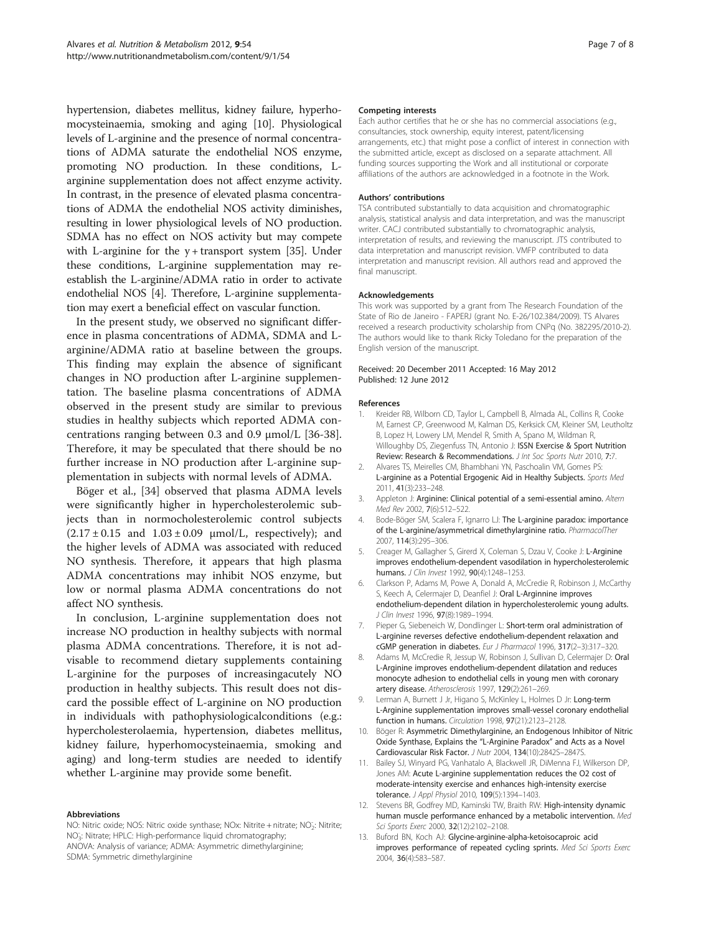<span id="page-6-0"></span>hypertension, diabetes mellitus, kidney failure, hyperhomocysteinaemia, smoking and aging [10]. Physiological levels of L-arginine and the presence of normal concentrations of ADMA saturate the endothelial NOS enzyme, promoting NO production. In these conditions, Larginine supplementation does not affect enzyme activity. In contrast, in the presence of elevated plasma concentrations of ADMA the endothelial NOS activity diminishes, resulting in lower physiological levels of NO production. SDMA has no effect on NOS activity but may compete with L-arginine for the  $y$  + transport system [\[35\]](#page-7-0). Under these conditions, L-arginine supplementation may reestablish the L-arginine/ADMA ratio in order to activate endothelial NOS [4]. Therefore, L-arginine supplementation may exert a beneficial effect on vascular function.

In the present study, we observed no significant difference in plasma concentrations of ADMA, SDMA and Larginine/ADMA ratio at baseline between the groups. This finding may explain the absence of significant changes in NO production after L-arginine supplementation. The baseline plasma concentrations of ADMA observed in the present study are similar to previous studies in healthy subjects which reported ADMA concentrations ranging between 0.3 and 0.9 μmol/L [\[36-38](#page-7-0)]. Therefore, it may be speculated that there should be no further increase in NO production after L-arginine supplementation in subjects with normal levels of ADMA.

Böger et al., [[34\]](#page-7-0) observed that plasma ADMA levels were significantly higher in hypercholesterolemic subjects than in normocholesterolemic control subjects  $(2.17 \pm 0.15$  and  $1.03 \pm 0.09$   $\mu$ mol/L, respectively); and the higher levels of ADMA was associated with reduced NO synthesis. Therefore, it appears that high plasma ADMA concentrations may inhibit NOS enzyme, but low or normal plasma ADMA concentrations do not affect NO synthesis.

In conclusion, L-arginine supplementation does not increase NO production in healthy subjects with normal plasma ADMA concentrations. Therefore, it is not advisable to recommend dietary supplements containing L-arginine for the purposes of increasingacutely NO production in healthy subjects. This result does not discard the possible effect of L-arginine on NO production in individuals with pathophysiologicalconditions (e.g.: hypercholesterolaemia, hypertension, diabetes mellitus, kidney failure, hyperhomocysteinaemia, smoking and aging) and long-term studies are needed to identify whether L-arginine may provide some benefit.

#### Abbreviations

NO: Nitric oxide; NOS: Nitric oxide synthase; NOx: Nitrite + nitrate; NO<sub>2</sub>: Nitrite; NO3 - : Nitrate; HPLC: High-performance liquid chromatography; ANOVA: Analysis of variance; ADMA: Asymmetric dimethylarginine; SDMA: Symmetric dimethylarginine

#### Competing interests

Each author certifies that he or she has no commercial associations (e.g., consultancies, stock ownership, equity interest, patent/licensing arrangements, etc.) that might pose a conflict of interest in connection with the submitted article, except as disclosed on a separate attachment. All funding sources supporting the Work and all institutional or corporate affiliations of the authors are acknowledged in a footnote in the Work.

#### Authors' contributions

TSA contributed substantially to data acquisition and chromatographic analysis, statistical analysis and data interpretation, and was the manuscript writer. CACJ contributed substantially to chromatographic analysis, interpretation of results, and reviewing the manuscript. JTS contributed to data interpretation and manuscript revision. VMFP contributed to data interpretation and manuscript revision. All authors read and approved the final manuscript.

#### Acknowledgements

This work was supported by a grant from The Research Foundation of the State of Rio de Janeiro - FAPERJ (grant No. E-26/102.384/2009). TS Alvares received a research productivity scholarship from CNPq (No. 382295/2010-2). The authors would like to thank Ricky Toledano for the preparation of the English version of the manuscript.

#### Received: 20 December 2011 Accepted: 16 May 2012 Published: 12 June 2012

#### References

- 1. Kreider RB, Wilborn CD, Taylor L, Campbell B, Almada AL, Collins R, Cooke M, Earnest CP, Greenwood M, Kalman DS, Kerksick CM, Kleiner SM, Leutholtz B, Lopez H, Lowery LM, Mendel R, Smith A, Spano M, Wildman R, Willoughby DS, Ziegenfuss TN, Antonio J: ISSN Exercise & Sport Nutrition Review: Research & Recommendations. J Int Soc Sports Nutr 2010, 7:7.
- 2. Alvares TS, Meirelles CM, Bhambhani YN, Paschoalin VM, Gomes PS: L-arginine as a Potential Ergogenic Aid in Healthy Subjects. Sports Med 2011, 41(3):233–248.
- 3. Appleton J: Arginine: Clinical potential of a semi-essential amino. Altern Med Rev 2002, 7(6):512–522.
- 4. Bode-Böger SM, Scalera F, Ignarro LJ: The L-arginine paradox: importance of the L-arginine/asymmetrical dimethylarginine ratio. PharmacolTher 2007, 114(3):295–306.
- 5. Creager M, Gallagher S, Girerd X, Coleman S, Dzau V, Cooke J: L-Arginine improves endothelium-dependent vasodilation in hypercholesterolemic humans. J Clin Invest 1992, 90(4):1248–1253.
- 6. Clarkson P, Adams M, Powe A, Donald A, McCredie R, Robinson J, McCarthy S, Keech A, Celermajer D, Deanfiel J: Oral L-Arginnine improves endothelium-dependent dilation in hypercholesterolemic young adults. J Clin Invest 1996, 97(8):1989-1994.
- 7. Pieper G, Siebeneich W, Dondlinger L: Short-term oral administration of L-arginine reverses defective endothelium-dependent relaxation and cGMP generation in diabetes. Eur J Pharmacol 1996, 317(2–3):317–320.
- 8. Adams M, McCredie R, Jessup W, Robinson J, Sullivan D, Celermajer D: Oral L-Arginine improves endothelium-dependent dilatation and reduces monocyte adhesion to endothelial cells in young men with coronary artery disease. Atherosclerosis 1997, 129(2):261–269.
- 9. Lerman A, Burnett J Jr, Higano S, McKinley L, Holmes D Jr: Long-term L-Arginine supplementation improves small-vessel coronary endothelial function in humans. Circulation 1998, 97(21):2123–2128.
- 10. Böger R: Asymmetric Dimethylarginine, an Endogenous Inhibitor of Nitric Oxide Synthase, Explains the "L-Arginine Paradox" and Acts as a Novel Cardiovascular Risk Factor. J Nutr 2004, 134(10):2842S–2847S.
- 11. Bailey SJ, Winyard PG, Vanhatalo A, Blackwell JR, DiMenna FJ, Wilkerson DP, Jones AM: Acute L-arginine supplementation reduces the O2 cost of moderate-intensity exercise and enhances high-intensity exercise tolerance. J Appl Physiol 2010, 109(5):1394–1403.
- 12. Stevens BR, Godfrey MD, Kaminski TW, Braith RW: High-intensity dynamic human muscle performance enhanced by a metabolic intervention. Med Sci Sports Exerc 2000, 32(12):2102-2108.
- 13. Buford BN, Koch AJ: Glycine-arginine-alpha-ketoisocaproic acid improves performance of repeated cycling sprints. Med Sci Sports Exerc 2004, 36(4):583–587.